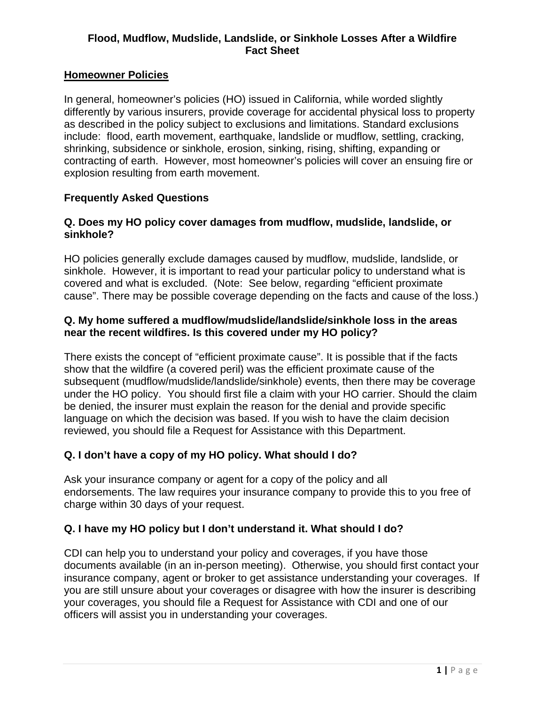## **Flood, Mudflow, Mudslide, Landslide, or Sinkhole Losses After a Wildfire Fact Sheet**

### **Homeowner Policies**

In general, homeowner's policies (HO) issued in California, while worded slightly differently by various insurers, provide coverage for accidental physical loss to property as described in the policy subject to exclusions and limitations. Standard exclusions include: flood, earth movement, earthquake, landslide or mudflow, settling, cracking, shrinking, subsidence or sinkhole, erosion, sinking, rising, shifting, expanding or contracting of earth. However, most homeowner's policies will cover an ensuing fire or explosion resulting from earth movement.

## **Frequently Asked Questions**

### **Q. Does my HO policy cover damages from mudflow, mudslide, landslide, or sinkhole?**

HO policies generally exclude damages caused by mudflow, mudslide, landslide, or sinkhole. However, it is important to read your particular policy to understand what is covered and what is excluded. (Note: See below, regarding "efficient proximate cause". There may be possible coverage depending on the facts and cause of the loss.)

### **Q. My home suffered a mudflow/mudslide/landslide/sinkhole loss in the areas near the recent wildfires. Is this covered under my HO policy?**

There exists the concept of "efficient proximate cause". It is possible that if the facts show that the wildfire (a covered peril) was the efficient proximate cause of the subsequent (mudflow/mudslide/landslide/sinkhole) events, then there may be coverage under the HO policy. You should first file a claim with your HO carrier. Should the claim be denied, the insurer must explain the reason for the denial and provide specific language on which the decision was based. If you wish to have the claim decision reviewed, you should file a Request for Assistance with this Department.

### **Q. I don't have a copy of my HO policy. What should I do?**

Ask your insurance company or agent for a copy of the policy and all endorsements. The law requires your insurance company to provide this to you free of charge within 30 days of your request.

### **Q. I have my HO policy but I don't understand it. What should I do?**

CDI can help you to understand your policy and coverages, if you have those documents available (in an in-person meeting). Otherwise, you should first contact your insurance company, agent or broker to get assistance understanding your coverages. If you are still unsure about your coverages or disagree with how the insurer is describing your coverages, you should file a Request for Assistance with CDI and one of our officers will assist you in understanding your coverages.